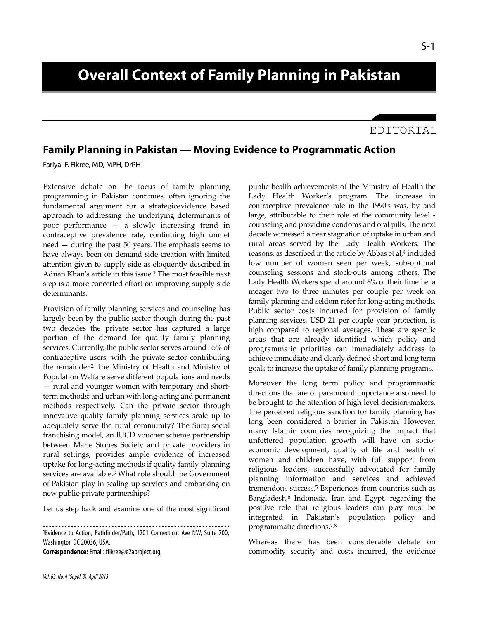# **Overall Context of Family Planning in Pakistan**

### EDITORIAL

## **Family Planning in Pakistan — Moving Evidence to Programmatic Action**

Fariyal F. Fikree, MD, MPH, DrPH<sup>1</sup>

Extensive debate on the focus of family planning programming in Pakistan continues, often ignoring the fundamental argument for a strategicevidence based approach to addressing the underlying determinants of poor performance — a slowly increasing trend in contraceptive prevalence rate, continuing high unmet need — during the past 50 years. The emphasis seems to have always been on demand side creation with limited attention given to supply side as eloquently described in Adnan Khan's article in this issue.<sup>1</sup> The most feasible next step is a more concerted effort on improving supply side determinants.

Provision of family planning services and counseling has largely been by the public sector though during the past two decades the private sector has captured a large portion of the demand for quality family planning services. Currently, the public sector serves around 35% of contraceptive users, with the private sector contributing the remainder.<sup>2</sup> The Ministry of Health and Ministry of Population Welfare serve different populations and needs — rural and younger women with temporary and shortterm methods; and urban with long-acting and permanent methods respectively. Can the private sector through innovative quality family planning services scale up to adequately serve the rural community? The Suraj social franchising model, an IUCD voucher scheme partnership between Marie Stopes Society and private providers in rural settings, provides ample evidence of increased uptake for long-acting methods if quality family planning services are available.<sup>3</sup> What role should the Government of Pakistan play in scaling up services and embarking on new public-private partnerships?

Let us step back and examine one of the most significant

1Evidence to Action; Pathfinder/Path, 1201 Connecticut Ave NW, Suite 700, Washington DC 20036, USA.

**Correspondence:**Email: ffikree@e2aproject.org

public health achievements of the Ministry of Health-the Lady Health Worker's program. The increase in contraceptive prevalence rate in the 1990's was, by and large, attributable to their role at the community level counseling and providing condoms and oral pills. The next decade witnessed a near stagnation of uptake in urban and rural areas served by the Lady Health Workers. The reasons, as described in the article by Abbas et al, <sup>4</sup> included low number of women seen per week, sub-optimal counseling sessions and stock-outs among others. The Lady Health Workers spend around 6% of their time i.e. a meager two to three minutes per couple per week on family planning and seldom refer for long-acting methods. Public sector costs incurred for provision of family planning services, USD 21 per couple year protection, is high compared to regional averages. These are specific areas that are already identified which policy and programmatic priorities can immediately address to achieve immediate and clearly defined short and long term goals to increase the uptake of family planning programs.

Moreover the long term policy and programmatic directions that are of paramount importance also need to be brought to the attention of high level decision-makers. The perceived religious sanction for family planning has long been considered a barrier in Pakistan. However, many Islamic countries recognizing the impact that unfettered population growth will have on socioeconomic development, quality of life and health of women and children have, with full support from religious leaders, successfully advocated for family planning information and services and achieved tremendous success.<sup>5</sup> Experiences from countries such as Bangladesh,<sup>6</sup> Indonesia, Iran and Egypt, regarding the positive role that religious leaders can play must be integrated in Pakistan's population policy and programmatic directions.7,8

Whereas there has been considerable debate on commodity security and costs incurred, the evidence